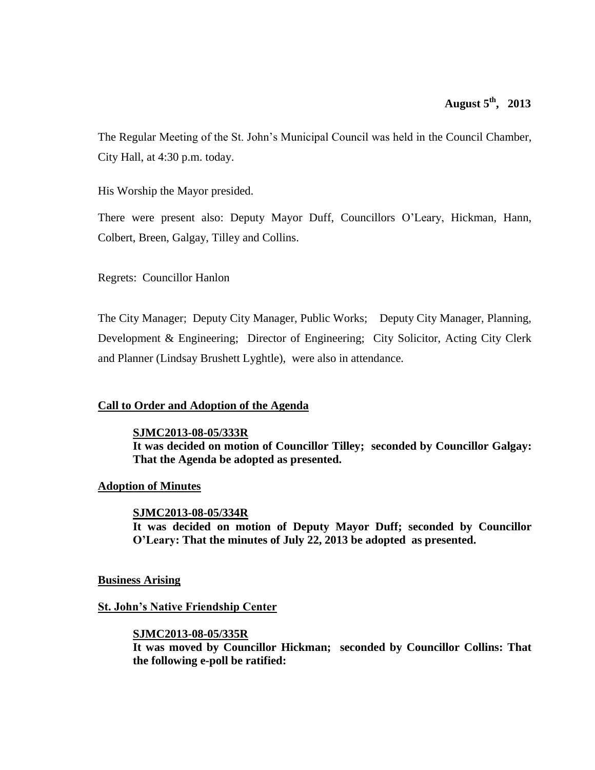The Regular Meeting of the St. John's Municipal Council was held in the Council Chamber, City Hall, at 4:30 p.m. today.

His Worship the Mayor presided.

There were present also: Deputy Mayor Duff, Councillors O'Leary, Hickman, Hann, Colbert, Breen, Galgay, Tilley and Collins.

Regrets: Councillor Hanlon

The City Manager; Deputy City Manager, Public Works; Deputy City Manager, Planning, Development & Engineering; Director of Engineering; City Solicitor, Acting City Clerk and Planner (Lindsay Brushett Lyghtle), were also in attendance.

### **Call to Order and Adoption of the Agenda**

**SJMC2013-08-05/333R**

**It was decided on motion of Councillor Tilley; seconded by Councillor Galgay: That the Agenda be adopted as presented.** 

### **Adoption of Minutes**

### **SJMC2013-08-05/334R**

**It was decided on motion of Deputy Mayor Duff; seconded by Councillor O'Leary: That the minutes of July 22, 2013 be adopted as presented.**

### **Business Arising**

### **St. John's Native Friendship Center**

### **SJMC2013-08-05/335R**

**It was moved by Councillor Hickman; seconded by Councillor Collins: That the following e-poll be ratified:**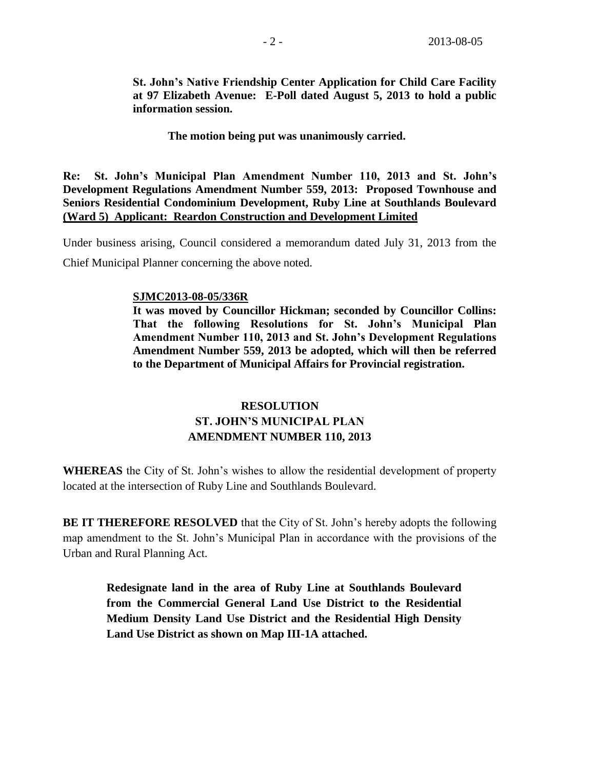**St. John's Native Friendship Center Application for Child Care Facility at 97 Elizabeth Avenue: E-Poll dated August 5, 2013 to hold a public information session.**

**The motion being put was unanimously carried.**

**Re: St. John's Municipal Plan Amendment Number 110, 2013 and St. John's Development Regulations Amendment Number 559, 2013: Proposed Townhouse and Seniors Residential Condominium Development, Ruby Line at Southlands Boulevard (Ward 5) Applicant: Reardon Construction and Development Limited**

Under business arising, Council considered a memorandum dated July 31, 2013 from the Chief Municipal Planner concerning the above noted.

### **SJMC2013-08-05/336R**

**It was moved by Councillor Hickman; seconded by Councillor Collins: That the following Resolutions for St. John's Municipal Plan Amendment Number 110, 2013 and St. John's Development Regulations Amendment Number 559, 2013 be adopted, which will then be referred to the Department of Municipal Affairs for Provincial registration.**

# **RESOLUTION ST. JOHN'S MUNICIPAL PLAN AMENDMENT NUMBER 110, 2013**

**WHEREAS** the City of St. John's wishes to allow the residential development of property located at the intersection of Ruby Line and Southlands Boulevard.

**BE IT THEREFORE RESOLVED** that the City of St. John's hereby adopts the following map amendment to the St. John's Municipal Plan in accordance with the provisions of the Urban and Rural Planning Act.

**Redesignate land in the area of Ruby Line at Southlands Boulevard from the Commercial General Land Use District to the Residential Medium Density Land Use District and the Residential High Density Land Use District as shown on Map III-1A attached.**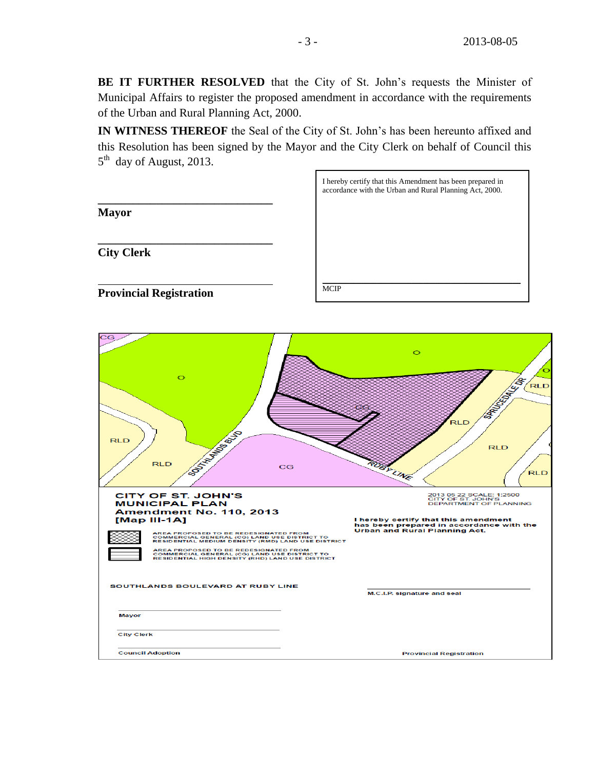**BE IT FURTHER RESOLVED** that the City of St. John's requests the Minister of Municipal Affairs to register the proposed amendment in accordance with the requirements of the Urban and Rural Planning Act, 2000.

**IN WITNESS THEREOF** the Seal of the City of St. John's has been hereunto affixed and this Resolution has been signed by the Mayor and the City Clerk on behalf of Council this 5<sup>th</sup> day of August, 2013.

|                                                                                                                                                                                                                                                                                                                                                                                                                                                                                                                                                          | I hereby certify that this Amendment has been prepared in<br>accordance with the Urban and Rural Planning Act, 2000.                                                                                                                                                                                                                             |
|----------------------------------------------------------------------------------------------------------------------------------------------------------------------------------------------------------------------------------------------------------------------------------------------------------------------------------------------------------------------------------------------------------------------------------------------------------------------------------------------------------------------------------------------------------|--------------------------------------------------------------------------------------------------------------------------------------------------------------------------------------------------------------------------------------------------------------------------------------------------------------------------------------------------|
| <b>Mayor</b>                                                                                                                                                                                                                                                                                                                                                                                                                                                                                                                                             |                                                                                                                                                                                                                                                                                                                                                  |
| <b>City Clerk</b>                                                                                                                                                                                                                                                                                                                                                                                                                                                                                                                                        |                                                                                                                                                                                                                                                                                                                                                  |
| <b>Provincial Registration</b>                                                                                                                                                                                                                                                                                                                                                                                                                                                                                                                           | <b>MCIP</b>                                                                                                                                                                                                                                                                                                                                      |
| $_{\rm CG}$<br>$\circ$<br><b>BOOKING BOOK</b><br><b>RLD</b><br><b>RLD</b><br>CG<br><b>CITY OF ST. JOHN'S</b><br><b>MUNICIPAL PLAN</b><br>Amendment No. 110, 2013<br>$[Map III-1A]$<br>AREA PROPOSED TO BE REDESIGNATED FROM<br>COMMERCIAL GENERAL (CG) LAND USE DISTRICT TO<br>RESIDENTIAL MEDIUM DENSITY (RMD) LAND USE DISTRICT<br>AREA PROPOSED TO BE REDESIGNATED FROM<br>COMMERCIAL GENERAL (CG) LAND USE DISTRICT TO<br>RESIDENTIAL HIGH DENSITY (RHD) LAND USE DISTRICT<br>SOUTHLANDS BOULEVARD AT RUBY LINE<br><b>Mayor</b><br><b>City Clerk</b> | $\circ$<br><b>CONTRACTOR DESCRIPTION</b><br>RLD<br>RLD<br><b>RLD</b><br><b>RUBL</b><br>LINE<br><b>RLD</b><br>2013 05 22 SCALE: 1:2500<br>CITY OF ST. JOHN'S<br>DEPARTMENT OF PLANNING<br>I hereby certify that this amendment<br>has been prepared in accordance with the<br><b>Urban and Rural Planning Act.</b><br>M.C.I.P. signature and seal |
| <b>Council Adoption</b>                                                                                                                                                                                                                                                                                                                                                                                                                                                                                                                                  | <b>Provincial Registration</b>                                                                                                                                                                                                                                                                                                                   |
|                                                                                                                                                                                                                                                                                                                                                                                                                                                                                                                                                          |                                                                                                                                                                                                                                                                                                                                                  |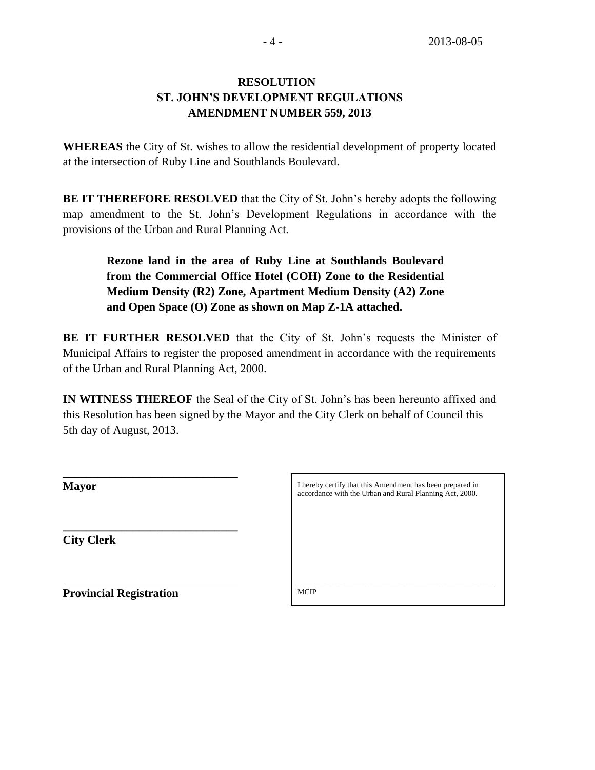# **RESOLUTION ST. JOHN'S DEVELOPMENT REGULATIONS AMENDMENT NUMBER 559, 2013**

**WHEREAS** the City of St. wishes to allow the residential development of property located at the intersection of Ruby Line and Southlands Boulevard.

**BE IT THEREFORE RESOLVED** that the City of St. John's hereby adopts the following map amendment to the St. John's Development Regulations in accordance with the provisions of the Urban and Rural Planning Act.

**Rezone land in the area of Ruby Line at Southlands Boulevard from the Commercial Office Hotel (COH) Zone to the Residential Medium Density (R2) Zone, Apartment Medium Density (A2) Zone and Open Space (O) Zone as shown on Map Z-1A attached.**

**BE IT FURTHER RESOLVED** that the City of St. John's requests the Minister of Municipal Affairs to register the proposed amendment in accordance with the requirements of the Urban and Rural Planning Act, 2000.

**IN WITNESS THEREOF** the Seal of the City of St. John's has been hereunto affixed and this Resolution has been signed by the Mayor and the City Clerk on behalf of Council this 5th day of August, 2013.

**\_\_\_\_\_\_\_\_\_\_\_\_\_\_\_\_\_\_\_\_\_\_\_\_\_\_\_\_\_\_ City Clerk**

I hereby certify that this Amendment has been prepared in accordance with the Urban and Rural Planning Act, 2000.

 $\mathcal{L}_\text{max}$  and  $\mathcal{L}_\text{max}$  and  $\mathcal{L}_\text{max}$  and  $\mathcal{L}_\text{max}$  and  $\mathcal{L}_\text{max}$ 

**Provincial Registration**

**\_\_\_\_\_\_\_\_\_\_\_\_\_\_\_\_\_\_\_\_\_\_\_\_\_\_\_\_\_\_**

**MCIP**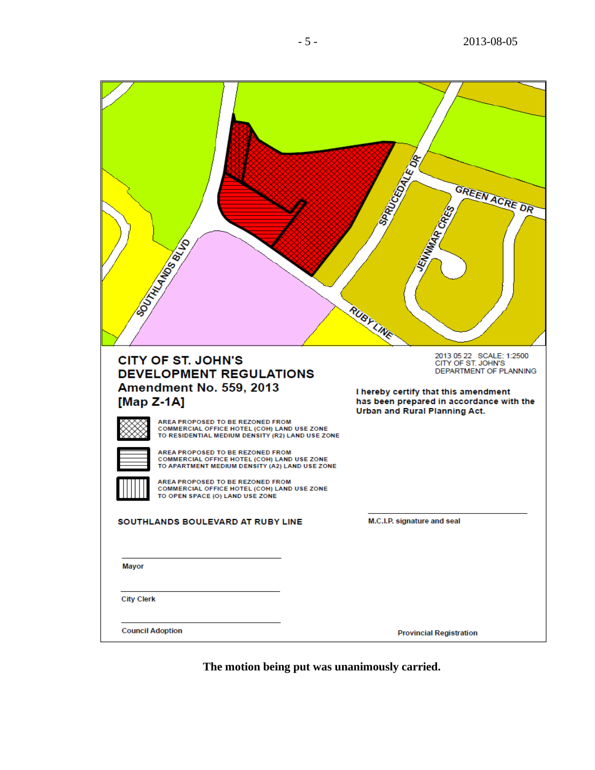| <b>VITAL AND BATA</b>                                                                                                                                                                                                                                                                                                                                                                                                                                                                                  | SPROCEDALE DR<br>GREEN ACRE DR<br>MAR CR.<br>RUBYLINE                                                                                                                                         |
|--------------------------------------------------------------------------------------------------------------------------------------------------------------------------------------------------------------------------------------------------------------------------------------------------------------------------------------------------------------------------------------------------------------------------------------------------------------------------------------------------------|-----------------------------------------------------------------------------------------------------------------------------------------------------------------------------------------------|
|                                                                                                                                                                                                                                                                                                                                                                                                                                                                                                        |                                                                                                                                                                                               |
| <b>CITY OF ST. JOHN'S</b><br><b>DEVELOPMENT REGULATIONS</b><br>Amendment No. 559, 2013<br>[Map Z-1A]<br>AREA PROPOSED TO BE REZONED FROM<br>COMMERCIAL OFFICE HOTEL (COH) LAND USE ZONE<br>TO RESIDENTIAL MEDIUM DENSITY (R2) LAND USE ZONE<br>AREA PROPOSED TO BE REZONED FROM<br>COMMERCIAL OFFICE HOTEL (COH) LAND USE ZONE<br>TO APARTMENT MEDIUM DENSITY (A2) LAND USE ZONE<br>AREA PROPOSED TO BE REZONED FROM<br>COMMERCIAL OFFICE HOTEL (COH) LAND USE ZONE<br>TO OPEN SPACE (O) LAND USE ZONE | 2013 05 22 SCALE: 1:2500<br>CITY OF ST. JOHN'S<br>DEPARTMENT OF PLANNING<br>I hereby certify that this amendment<br>has been prepared in accordance with the<br>Urban and Rural Planning Act. |
| SOUTHLANDS BOULEVARD AT RUBY LINE                                                                                                                                                                                                                                                                                                                                                                                                                                                                      | M.C.I.P. signature and seal                                                                                                                                                                   |
| Mayor<br><b>City Clerk</b>                                                                                                                                                                                                                                                                                                                                                                                                                                                                             |                                                                                                                                                                                               |
| <b>Council Adoption</b>                                                                                                                                                                                                                                                                                                                                                                                                                                                                                | <b>Provincial Registration</b>                                                                                                                                                                |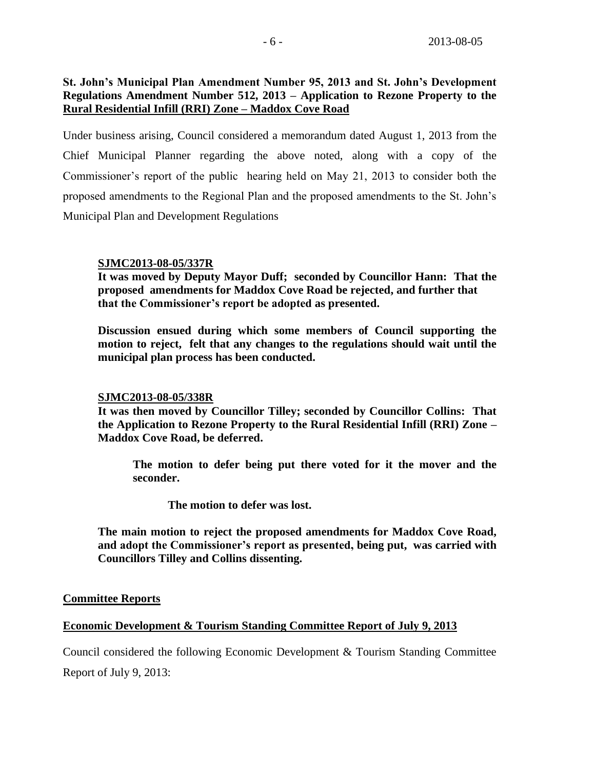# **St. John's Municipal Plan Amendment Number 95, 2013 and St. John's Development Regulations Amendment Number 512, 2013 – Application to Rezone Property to the Rural Residential Infill (RRI) Zone – Maddox Cove Road**

Under business arising, Council considered a memorandum dated August 1, 2013 from the Chief Municipal Planner regarding the above noted, along with a copy of the Commissioner's report of the public hearing held on May 21, 2013 to consider both the proposed amendments to the Regional Plan and the proposed amendments to the St. John's Municipal Plan and Development Regulations

### **SJMC2013-08-05/337R**

**It was moved by Deputy Mayor Duff; seconded by Councillor Hann: That the proposed amendments for Maddox Cove Road be rejected, and further that that the Commissioner's report be adopted as presented.** 

**Discussion ensued during which some members of Council supporting the motion to reject, felt that any changes to the regulations should wait until the municipal plan process has been conducted.** 

### **SJMC2013-08-05/338R**

**It was then moved by Councillor Tilley; seconded by Councillor Collins: That the Application to Rezone Property to the Rural Residential Infill (RRI) Zone – Maddox Cove Road, be deferred.**

**The motion to defer being put there voted for it the mover and the seconder.** 

**The motion to defer was lost.**

**The main motion to reject the proposed amendments for Maddox Cove Road, and adopt the Commissioner's report as presented, being put, was carried with Councillors Tilley and Collins dissenting.**

# **Committee Reports**

# **Economic Development & Tourism Standing Committee Report of July 9, 2013**

Council considered the following Economic Development & Tourism Standing Committee Report of July 9, 2013: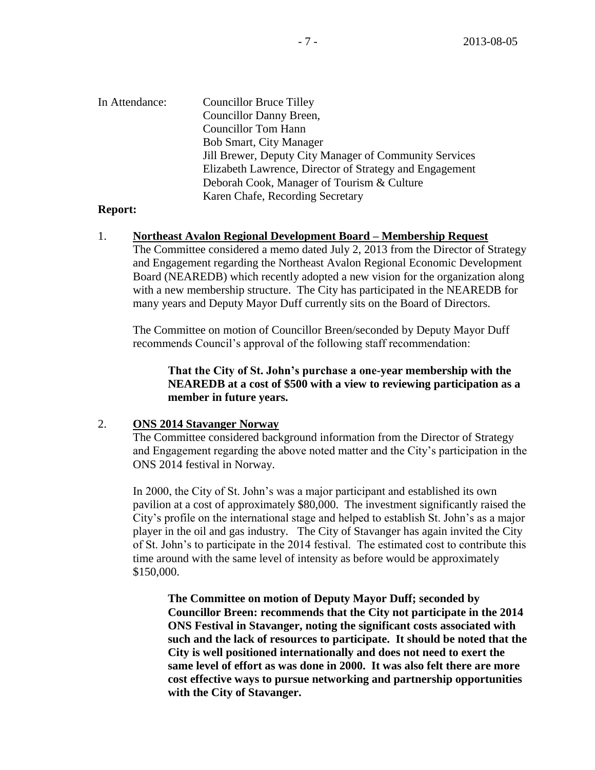| In Attendance: | <b>Councillor Bruce Tilley</b>                          |
|----------------|---------------------------------------------------------|
|                | Councillor Danny Breen,                                 |
|                | <b>Councillor Tom Hann</b>                              |
|                | <b>Bob Smart, City Manager</b>                          |
|                | Jill Brewer, Deputy City Manager of Community Services  |
|                | Elizabeth Lawrence, Director of Strategy and Engagement |
|                | Deborah Cook, Manager of Tourism & Culture              |
|                | Karen Chafe, Recording Secretary                        |

### **Report:**

### 1. **Northeast Avalon Regional Development Board – Membership Request**

The Committee considered a memo dated July 2, 2013 from the Director of Strategy and Engagement regarding the Northeast Avalon Regional Economic Development Board (NEAREDB) which recently adopted a new vision for the organization along with a new membership structure. The City has participated in the NEAREDB for many years and Deputy Mayor Duff currently sits on the Board of Directors.

The Committee on motion of Councillor Breen/seconded by Deputy Mayor Duff recommends Council's approval of the following staff recommendation:

**That the City of St. John's purchase a one-year membership with the NEAREDB at a cost of \$500 with a view to reviewing participation as a member in future years.**

### 2. **ONS 2014 Stavanger Norway**

The Committee considered background information from the Director of Strategy and Engagement regarding the above noted matter and the City's participation in the ONS 2014 festival in Norway.

In 2000, the City of St. John's was a major participant and established its own pavilion at a cost of approximately \$80,000. The investment significantly raised the City's profile on the international stage and helped to establish St. John's as a major player in the oil and gas industry. The City of Stavanger has again invited the City of St. John's to participate in the 2014 festival. The estimated cost to contribute this time around with the same level of intensity as before would be approximately \$150,000.

**The Committee on motion of Deputy Mayor Duff; seconded by Councillor Breen: recommends that the City not participate in the 2014 ONS Festival in Stavanger, noting the significant costs associated with such and the lack of resources to participate. It should be noted that the City is well positioned internationally and does not need to exert the same level of effort as was done in 2000. It was also felt there are more cost effective ways to pursue networking and partnership opportunities with the City of Stavanger.**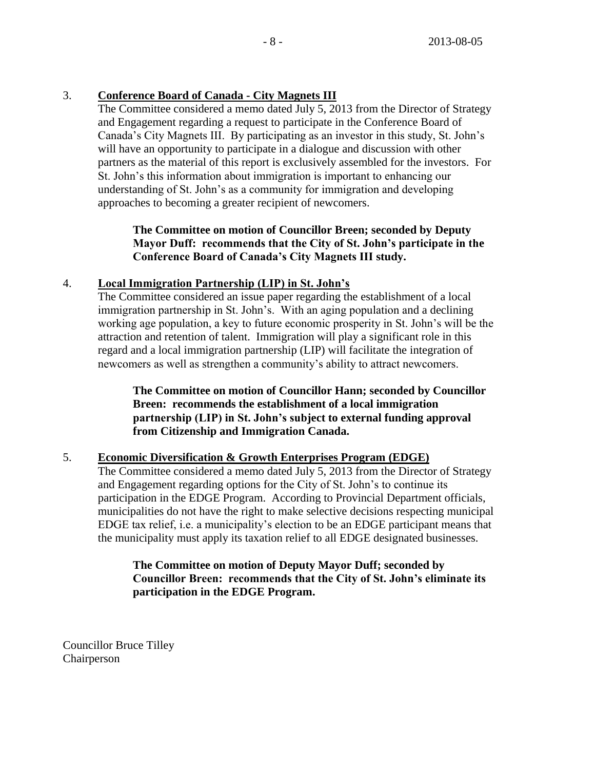# 3. **Conference Board of Canada - City Magnets III**

The Committee considered a memo dated July 5, 2013 from the Director of Strategy and Engagement regarding a request to participate in the Conference Board of Canada's City Magnets III. By participating as an investor in this study, St. John's will have an opportunity to participate in a dialogue and discussion with other partners as the material of this report is exclusively assembled for the investors. For St. John's this information about immigration is important to enhancing our understanding of St. John's as a community for immigration and developing approaches to becoming a greater recipient of newcomers.

# **The Committee on motion of Councillor Breen; seconded by Deputy Mayor Duff: recommends that the City of St. John's participate in the Conference Board of Canada's City Magnets III study.**

# 4. **Local Immigration Partnership (LIP) in St. John's**

The Committee considered an issue paper regarding the establishment of a local immigration partnership in St. John's. With an aging population and a declining working age population, a key to future economic prosperity in St. John's will be the attraction and retention of talent. Immigration will play a significant role in this regard and a local immigration partnership (LIP) will facilitate the integration of newcomers as well as strengthen a community's ability to attract newcomers.

**The Committee on motion of Councillor Hann; seconded by Councillor Breen: recommends the establishment of a local immigration partnership (LIP) in St. John's subject to external funding approval from Citizenship and Immigration Canada.**

# 5. **Economic Diversification & Growth Enterprises Program (EDGE)**

The Committee considered a memo dated July 5, 2013 from the Director of Strategy and Engagement regarding options for the City of St. John's to continue its participation in the EDGE Program. According to Provincial Department officials, municipalities do not have the right to make selective decisions respecting municipal EDGE tax relief, i.e. a municipality's election to be an EDGE participant means that the municipality must apply its taxation relief to all EDGE designated businesses.

# **The Committee on motion of Deputy Mayor Duff; seconded by Councillor Breen: recommends that the City of St. John's eliminate its participation in the EDGE Program.**

Councillor Bruce Tilley Chairperson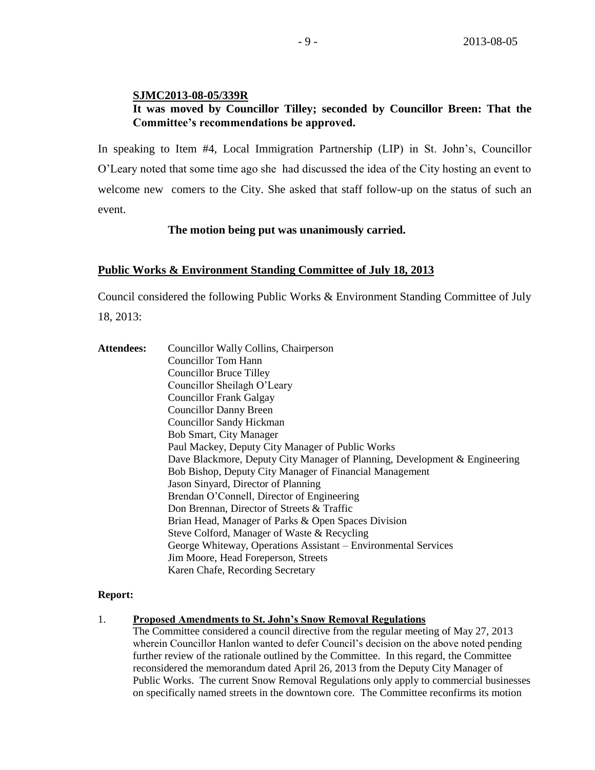### **SJMC2013-08-05/339R**

# **It was moved by Councillor Tilley; seconded by Councillor Breen: That the Committee's recommendations be approved.**

In speaking to Item #4, Local Immigration Partnership (LIP) in St. John's, Councillor O'Leary noted that some time ago she had discussed the idea of the City hosting an event to welcome new comers to the City. She asked that staff follow-up on the status of such an event.

### **The motion being put was unanimously carried.**

### **Public Works & Environment Standing Committee of July 18, 2013**

Council considered the following Public Works & Environment Standing Committee of July

18, 2013:

Attendees: Councillor Wally Collins, Chairperson Councillor Tom Hann Councillor Bruce Tilley Councillor Sheilagh O'Leary Councillor Frank Galgay Councillor Danny Breen Councillor Sandy Hickman Bob Smart, City Manager Paul Mackey, Deputy City Manager of Public Works Dave Blackmore, Deputy City Manager of Planning, Development & Engineering Bob Bishop, Deputy City Manager of Financial Management Jason Sinyard, Director of Planning Brendan O'Connell, Director of Engineering Don Brennan, Director of Streets & Traffic Brian Head, Manager of Parks & Open Spaces Division Steve Colford, Manager of Waste & Recycling George Whiteway, Operations Assistant – Environmental Services Jim Moore, Head Foreperson, Streets Karen Chafe, Recording Secretary

### **Report:**

### 1. **Proposed Amendments to St. John's Snow Removal Regulations**

The Committee considered a council directive from the regular meeting of May 27, 2013 wherein Councillor Hanlon wanted to defer Council's decision on the above noted pending further review of the rationale outlined by the Committee. In this regard, the Committee reconsidered the memorandum dated April 26, 2013 from the Deputy City Manager of Public Works. The current Snow Removal Regulations only apply to commercial businesses on specifically named streets in the downtown core. The Committee reconfirms its motion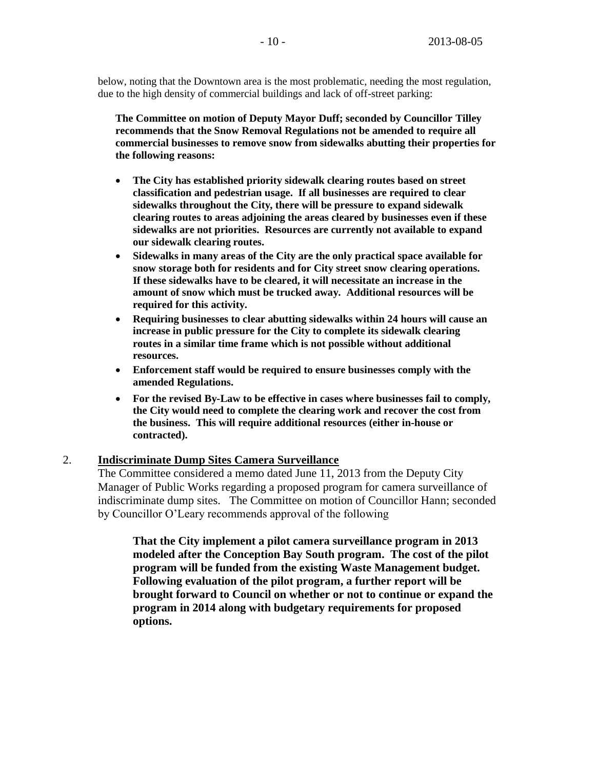below, noting that the Downtown area is the most problematic, needing the most regulation, due to the high density of commercial buildings and lack of off-street parking:

**The Committee on motion of Deputy Mayor Duff; seconded by Councillor Tilley recommends that the Snow Removal Regulations not be amended to require all commercial businesses to remove snow from sidewalks abutting their properties for the following reasons:**

- **The City has established priority sidewalk clearing routes based on street classification and pedestrian usage. If all businesses are required to clear sidewalks throughout the City, there will be pressure to expand sidewalk clearing routes to areas adjoining the areas cleared by businesses even if these sidewalks are not priorities. Resources are currently not available to expand our sidewalk clearing routes.**
- **Sidewalks in many areas of the City are the only practical space available for snow storage both for residents and for City street snow clearing operations. If these sidewalks have to be cleared, it will necessitate an increase in the amount of snow which must be trucked away. Additional resources will be required for this activity.**
- **Requiring businesses to clear abutting sidewalks within 24 hours will cause an increase in public pressure for the City to complete its sidewalk clearing routes in a similar time frame which is not possible without additional resources.**
- **Enforcement staff would be required to ensure businesses comply with the amended Regulations.**
- **For the revised By-Law to be effective in cases where businesses fail to comply, the City would need to complete the clearing work and recover the cost from the business. This will require additional resources (either in-house or contracted).**

### 2. **Indiscriminate Dump Sites Camera Surveillance**

The Committee considered a memo dated June 11, 2013 from the Deputy City Manager of Public Works regarding a proposed program for camera surveillance of indiscriminate dump sites. The Committee on motion of Councillor Hann; seconded by Councillor O'Leary recommends approval of the following

**That the City implement a pilot camera surveillance program in 2013 modeled after the Conception Bay South program. The cost of the pilot program will be funded from the existing Waste Management budget. Following evaluation of the pilot program, a further report will be brought forward to Council on whether or not to continue or expand the program in 2014 along with budgetary requirements for proposed options.**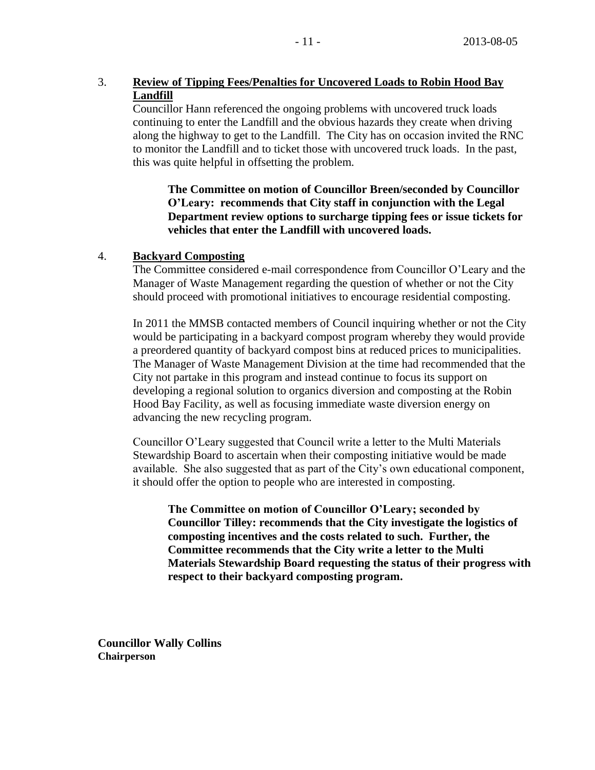# 3. **Review of Tipping Fees/Penalties for Uncovered Loads to Robin Hood Bay Landfill**

Councillor Hann referenced the ongoing problems with uncovered truck loads continuing to enter the Landfill and the obvious hazards they create when driving along the highway to get to the Landfill. The City has on occasion invited the RNC to monitor the Landfill and to ticket those with uncovered truck loads. In the past, this was quite helpful in offsetting the problem.

**The Committee on motion of Councillor Breen/seconded by Councillor O'Leary: recommends that City staff in conjunction with the Legal Department review options to surcharge tipping fees or issue tickets for vehicles that enter the Landfill with uncovered loads.**

## 4. **Backyard Composting**

The Committee considered e-mail correspondence from Councillor O'Leary and the Manager of Waste Management regarding the question of whether or not the City should proceed with promotional initiatives to encourage residential composting.

In 2011 the MMSB contacted members of Council inquiring whether or not the City would be participating in a backyard compost program whereby they would provide a preordered quantity of backyard compost bins at reduced prices to municipalities. The Manager of Waste Management Division at the time had recommended that the City not partake in this program and instead continue to focus its support on developing a regional solution to organics diversion and composting at the Robin Hood Bay Facility, as well as focusing immediate waste diversion energy on advancing the new recycling program.

Councillor O'Leary suggested that Council write a letter to the Multi Materials Stewardship Board to ascertain when their composting initiative would be made available. She also suggested that as part of the City's own educational component, it should offer the option to people who are interested in composting.

**The Committee on motion of Councillor O'Leary; seconded by Councillor Tilley: recommends that the City investigate the logistics of composting incentives and the costs related to such. Further, the Committee recommends that the City write a letter to the Multi Materials Stewardship Board requesting the status of their progress with respect to their backyard composting program.**

**Councillor Wally Collins Chairperson**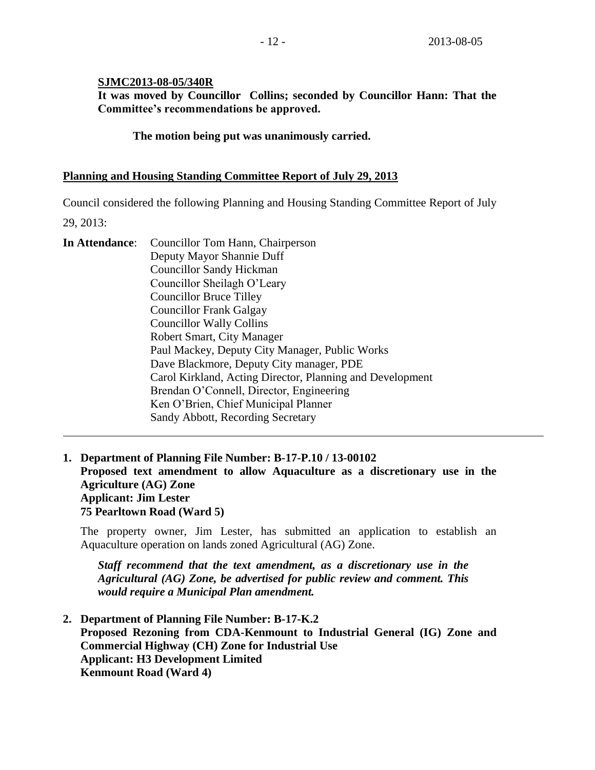## **SJMC2013-08-05/340R**

**It was moved by Councillor Collins; seconded by Councillor Hann: That the Committee's recommendations be approved.**

**The motion being put was unanimously carried.**

## **Planning and Housing Standing Committee Report of July 29, 2013**

Council considered the following Planning and Housing Standing Committee Report of July

29, 2013:

| In Attendance: | Councillor Tom Hann, Chairperson                          |
|----------------|-----------------------------------------------------------|
|                | Deputy Mayor Shannie Duff                                 |
|                | <b>Councillor Sandy Hickman</b>                           |
|                | Councillor Sheilagh O'Leary                               |
|                | <b>Councillor Bruce Tilley</b>                            |
|                | <b>Councillor Frank Galgay</b>                            |
|                | <b>Councillor Wally Collins</b>                           |
|                | Robert Smart, City Manager                                |
|                | Paul Mackey, Deputy City Manager, Public Works            |
|                | Dave Blackmore, Deputy City manager, PDE                  |
|                | Carol Kirkland, Acting Director, Planning and Development |
|                | Brendan O'Connell, Director, Engineering                  |
|                | Ken O'Brien, Chief Municipal Planner                      |
|                | Sandy Abbott, Recording Secretary                         |
|                |                                                           |

**1. Department of Planning File Number: B-17-P.10 / 13-00102 Proposed text amendment to allow Aquaculture as a discretionary use in the Agriculture (AG) Zone Applicant: Jim Lester 75 Pearltown Road (Ward 5)**

The property owner, Jim Lester, has submitted an application to establish an Aquaculture operation on lands zoned Agricultural (AG) Zone.

*Staff recommend that the text amendment, as a discretionary use in the Agricultural (AG) Zone, be advertised for public review and comment. This would require a Municipal Plan amendment.*

**2. Department of Planning File Number: B-17-K.2 Proposed Rezoning from CDA-Kenmount to Industrial General (IG) Zone and Commercial Highway (CH) Zone for Industrial Use Applicant: H3 Development Limited Kenmount Road (Ward 4)**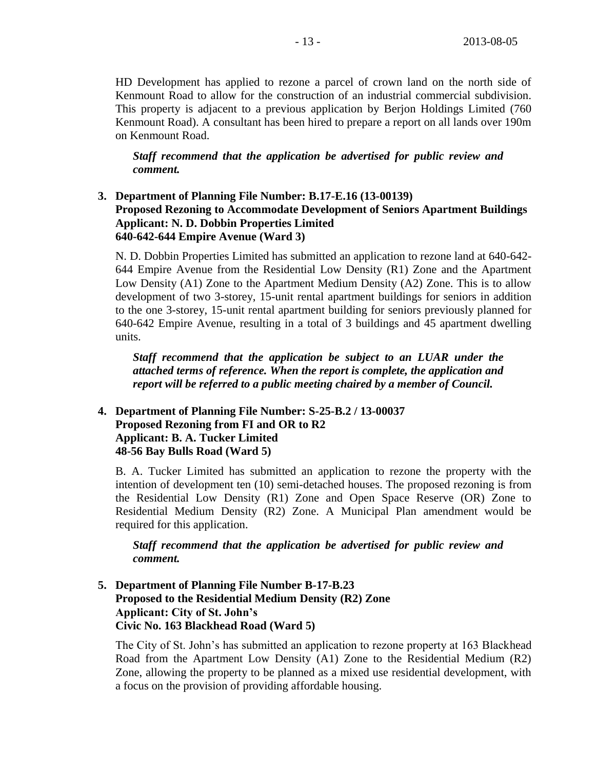HD Development has applied to rezone a parcel of crown land on the north side of Kenmount Road to allow for the construction of an industrial commercial subdivision. This property is adjacent to a previous application by Berjon Holdings Limited (760 Kenmount Road). A consultant has been hired to prepare a report on all lands over 190m on Kenmount Road.

*Staff recommend that the application be advertised for public review and comment.*

# **3. Department of Planning File Number: B.17-E.16 (13-00139) Proposed Rezoning to Accommodate Development of Seniors Apartment Buildings Applicant: N. D. Dobbin Properties Limited 640-642-644 Empire Avenue (Ward 3)**

N. D. Dobbin Properties Limited has submitted an application to rezone land at 640-642- 644 Empire Avenue from the Residential Low Density (R1) Zone and the Apartment Low Density (A1) Zone to the Apartment Medium Density (A2) Zone. This is to allow development of two 3-storey, 15-unit rental apartment buildings for seniors in addition to the one 3-storey, 15-unit rental apartment building for seniors previously planned for 640-642 Empire Avenue, resulting in a total of 3 buildings and 45 apartment dwelling units.

*Staff recommend that the application be subject to an LUAR under the attached terms of reference. When the report is complete, the application and report will be referred to a public meeting chaired by a member of Council.*

# **4. Department of Planning File Number: S-25-B.2 / 13-00037 Proposed Rezoning from FI and OR to R2 Applicant: B. A. Tucker Limited 48-56 Bay Bulls Road (Ward 5)**

B. A. Tucker Limited has submitted an application to rezone the property with the intention of development ten (10) semi-detached houses. The proposed rezoning is from the Residential Low Density (R1) Zone and Open Space Reserve (OR) Zone to Residential Medium Density (R2) Zone. A Municipal Plan amendment would be required for this application.

*Staff recommend that the application be advertised for public review and comment.*

# **5. Department of Planning File Number B-17-B.23 Proposed to the Residential Medium Density (R2) Zone Applicant: City of St. John's Civic No. 163 Blackhead Road (Ward 5)**

The City of St. John's has submitted an application to rezone property at 163 Blackhead Road from the Apartment Low Density (A1) Zone to the Residential Medium (R2) Zone, allowing the property to be planned as a mixed use residential development, with a focus on the provision of providing affordable housing.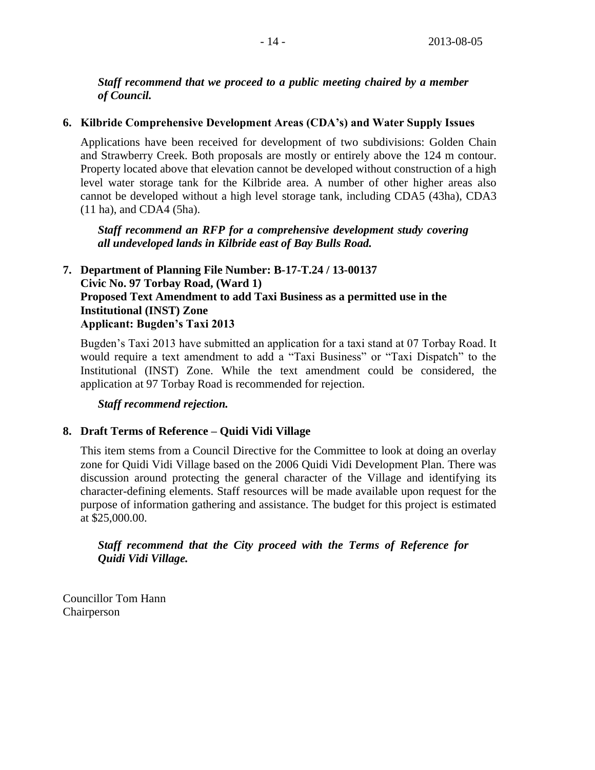*Staff recommend that we proceed to a public meeting chaired by a member of Council.*

## **6. Kilbride Comprehensive Development Areas (CDA's) and Water Supply Issues**

Applications have been received for development of two subdivisions: Golden Chain and Strawberry Creek. Both proposals are mostly or entirely above the 124 m contour. Property located above that elevation cannot be developed without construction of a high level water storage tank for the Kilbride area. A number of other higher areas also cannot be developed without a high level storage tank, including CDA5 (43ha), CDA3 (11 ha), and CDA4 (5ha).

*Staff recommend an RFP for a comprehensive development study covering all undeveloped lands in Kilbride east of Bay Bulls Road.*

# **7. Department of Planning File Number: B-17-T.24 / 13-00137 Civic No. 97 Torbay Road, (Ward 1) Proposed Text Amendment to add Taxi Business as a permitted use in the Institutional (INST) Zone Applicant: Bugden's Taxi 2013**

Bugden's Taxi 2013 have submitted an application for a taxi stand at 07 Torbay Road. It would require a text amendment to add a "Taxi Business" or "Taxi Dispatch" to the Institutional (INST) Zone. While the text amendment could be considered, the application at 97 Torbay Road is recommended for rejection.

*Staff recommend rejection.*

# **8. Draft Terms of Reference – Quidi Vidi Village**

This item stems from a Council Directive for the Committee to look at doing an overlay zone for Quidi Vidi Village based on the 2006 Quidi Vidi Development Plan. There was discussion around protecting the general character of the Village and identifying its character-defining elements. Staff resources will be made available upon request for the purpose of information gathering and assistance. The budget for this project is estimated at \$25,000.00.

# *Staff recommend that the City proceed with the Terms of Reference for Quidi Vidi Village.*

Councillor Tom Hann Chairperson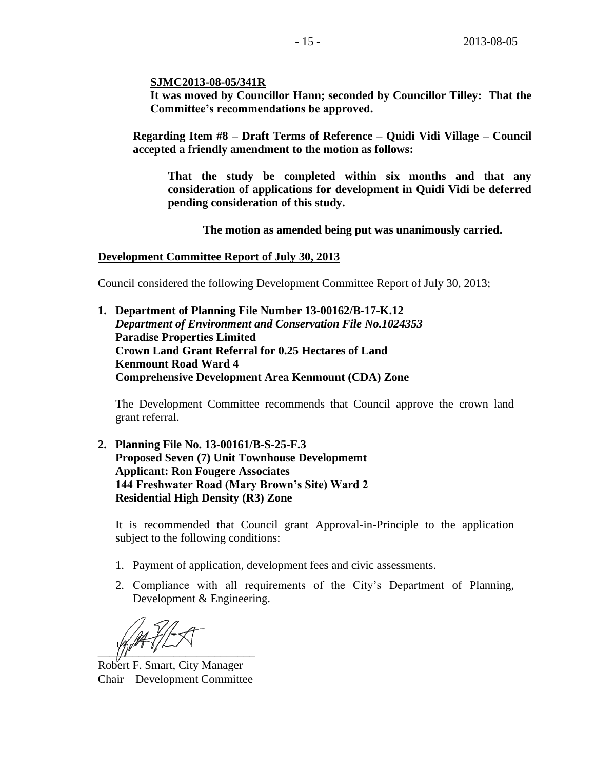**SJMC2013-08-05/341R**

**It was moved by Councillor Hann; seconded by Councillor Tilley: That the Committee's recommendations be approved.**

**Regarding Item #8 – Draft Terms of Reference – Quidi Vidi Village – Council accepted a friendly amendment to the motion as follows:**

**That the study be completed within six months and that any consideration of applications for development in Quidi Vidi be deferred pending consideration of this study.** 

**The motion as amended being put was unanimously carried.**

### **Development Committee Report of July 30, 2013**

Council considered the following Development Committee Report of July 30, 2013;

**1. Department of Planning File Number 13-00162/B-17-K.12**  *Department of Environment and Conservation File No.1024353*  **Paradise Properties Limited Crown Land Grant Referral for 0.25 Hectares of Land Kenmount Road Ward 4 Comprehensive Development Area Kenmount (CDA) Zone**

The Development Committee recommends that Council approve the crown land grant referral.

**2. Planning File No. 13-00161/B-S-25-F.3 Proposed Seven (7) Unit Townhouse Developmemt Applicant: Ron Fougere Associates 144 Freshwater Road (Mary Brown's Site) Ward 2 Residential High Density (R3) Zone** 

It is recommended that Council grant Approval-in-Principle to the application subject to the following conditions:

- 1. Payment of application, development fees and civic assessments.
- 2. Compliance with all requirements of the City's Department of Planning, Development & Engineering.

 $\frac{1}{2}$ 

Robert F. Smart, City Manager Chair – Development Committee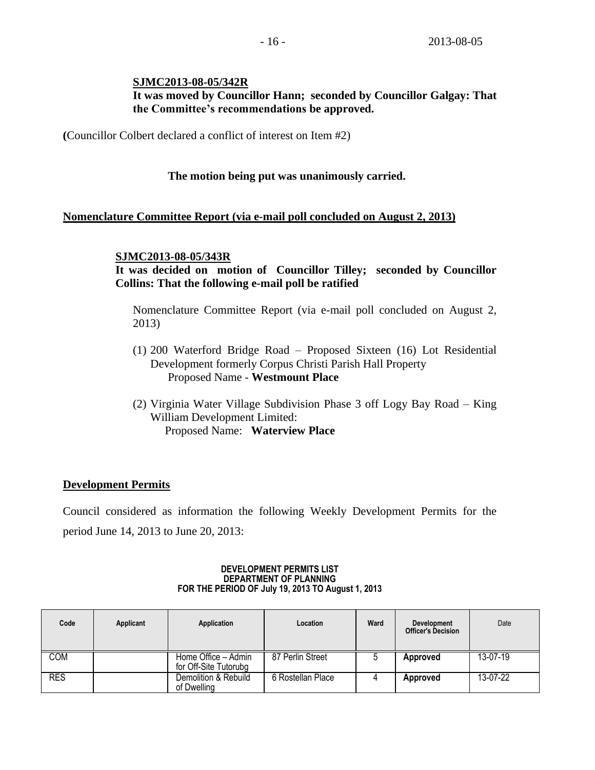## **SJMC2013-08-05/342R It was moved by Councillor Hann; seconded by Councillor Galgay: That the Committee's recommendations be approved.**

**(**Councillor Colbert declared a conflict of interest on Item #2)

# **The motion being put was unanimously carried.**

### **Nomenclature Committee Report (via e-mail poll concluded on August 2, 2013)**

### **SJMC2013-08-05/343R**

# **It was decided on motion of Councillor Tilley; seconded by Councillor Collins: That the following e-mail poll be ratified**

Nomenclature Committee Report (via e-mail poll concluded on August 2, 2013)

- (1) 200 Waterford Bridge Road Proposed Sixteen (16) Lot Residential Development formerly Corpus Christi Parish Hall Property Proposed Name - **Westmount Place**
- (2) Virginia Water Village Subdivision Phase 3 off Logy Bay Road King William Development Limited: Proposed Name: **Waterview Place**

# **Development Permits**

Council considered as information the following Weekly Development Permits for the period June 14, 2013 to June 20, 2013:

#### **DEVELOPMENT PERMITS LIST DEPARTMENT OF PLANNING FOR THE PERIOD OF July 19, 2013 TO August 1, 2013**

| Code       | Applicant | Application                                  | Location          | Ward | <b>Development</b><br><b>Officer's Decision</b> | Date     |
|------------|-----------|----------------------------------------------|-------------------|------|-------------------------------------------------|----------|
| COM        |           | Home Office - Admin<br>for Off-Site Tutorubg | 87 Perlin Street  |      | <b>Approved</b>                                 | 13-07-19 |
| <b>RES</b> |           | Demolition & Rebuild<br>of Dwelling          | 6 Rostellan Place |      | <b>Approved</b>                                 | 13-07-22 |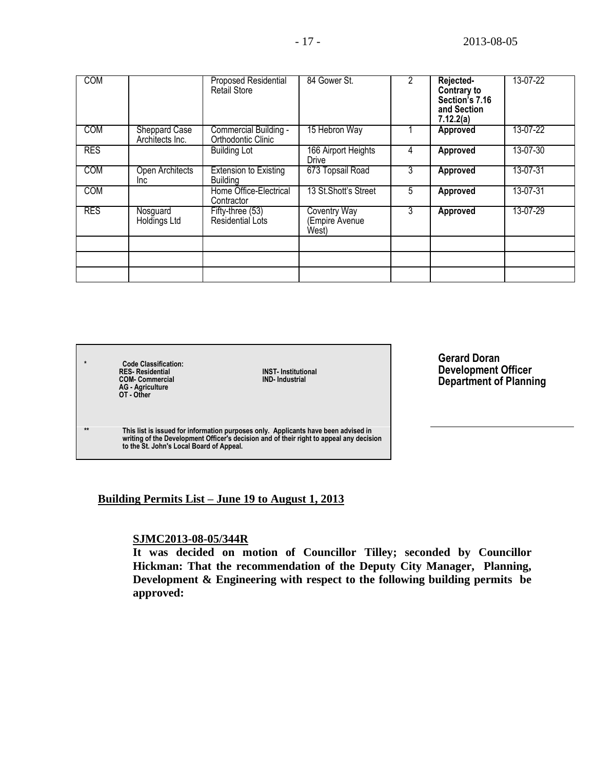| <b>COM</b> |                                         | <b>Proposed Residential</b><br><b>Retail Store</b> | 84 Gower St.                                  | 2 | Rejected-<br>Contrary to<br>Section's 7.16<br>and Section<br>7.12.2(a) | 13-07-22 |
|------------|-----------------------------------------|----------------------------------------------------|-----------------------------------------------|---|------------------------------------------------------------------------|----------|
| <b>COM</b> | <b>Sheppard Case</b><br>Architects Inc. | Commercial Building -<br>Orthodontic Clinic        | 15 Hebron Way                                 |   | <b>Approved</b>                                                        | 13-07-22 |
| <b>RES</b> |                                         | <b>Building Lot</b>                                | 166 Airport Heights<br><b>Drive</b>           | 4 | <b>Approved</b>                                                        | 13-07-30 |
| <b>COM</b> | Open Architects<br>Inc.                 | <b>Extension to Existing</b><br><b>Building</b>    | 673 Topsail Road                              | 3 | Approved                                                               | 13-07-31 |
| <b>COM</b> |                                         | Home Office-Electrical<br>Contractor               | 13 St. Shott's Street                         | 5 | Approved                                                               | 13-07-31 |
| <b>RES</b> | Nosguard<br>Holdings Ltd                | Fifty-three (53)<br>Residential Lots               | <b>Coventry Way</b><br>Empire Avenue<br>West) | 3 | Approved                                                               | 13-07-29 |
|            |                                         |                                                    |                                               |   |                                                                        |          |
|            |                                         |                                                    |                                               |   |                                                                        |          |
|            |                                         |                                                    |                                               |   |                                                                        |          |

**\* Code Classification: RES- Residential INST- Institutional COM- Commercial IND- Industrial AG - Agriculture OT - Other \*\* This list is issued for information purposes only. Applicants have been advised in writing of the Development Officer's decision and of their right to appeal any decision to the St. John's Local Board of Appeal.**

**Gerard Doran Development Officer Department of Planning**

### **Building Permits List – June 19 to August 1, 2013**

### **SJMC2013-08-05/344R**

**It was decided on motion of Councillor Tilley; seconded by Councillor Hickman: That the recommendation of the Deputy City Manager, Planning, Development & Engineering with respect to the following building permits be approved:**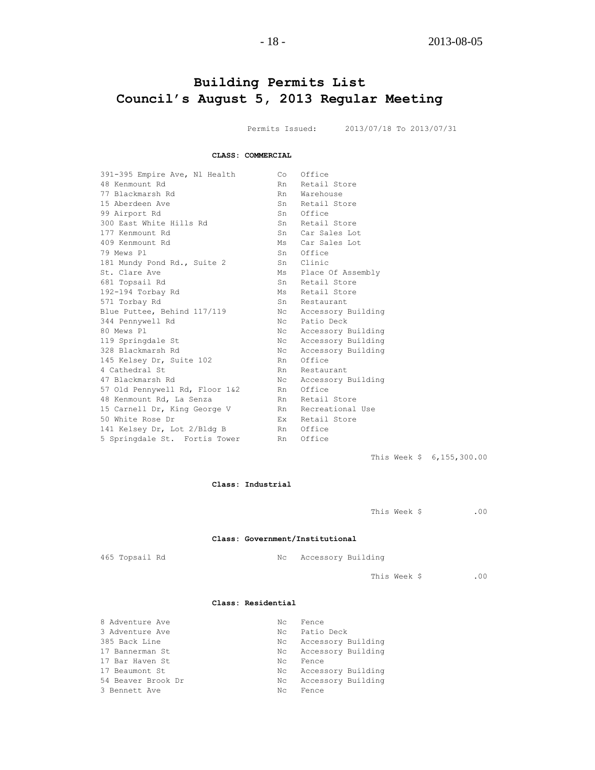# **Building Permits List Council's August 5, 2013 Regular Meeting**

Permits Issued: 2013/07/18 To 2013/07/31

#### **CLASS: COMMERCIAL**

| 391-395 Empire Ave, Nl Health  | Co          | Office                |
|--------------------------------|-------------|-----------------------|
| 48 Kenmount Rd                 | Rn          | Retail Store          |
| 77 Blackmarsh Rd               | Rn          | Warehouse             |
| 15 Aberdeen Ave                | Sn          | Retail Store          |
| 99 Airport Rd                  |             | Sn Office             |
| 300 East White Hills Rd        | Sn          | Retail Store          |
| 177 Kenmount Rd                | Sn          | Car Sales Lot         |
| 409 Kenmount Rd                |             | Ms Car Sales Lot      |
| 79 Mews Pl                     | Sn          | Office                |
| 181 Mundy Pond Rd., Suite 2    | Sn          | Clinic                |
| St. Clare Ave                  |             | Ms Place Of Assembly  |
| 681 Topsail Rd                 | Sn          | Retail Store          |
| 192-194 Torbay Rd              | $M_{\rm S}$ | Retail Store          |
| 571 Torbay Rd                  | Sn          | Restaurant            |
| Blue Puttee, Behind 117/119    | Nc          | Accessory Building    |
| 344 Pennywell Rd               | Nc          | Patio Deck            |
| 80 Mews Pl                     |             | Nc Accessory Building |
| 119 Springdale St              | Nc          | Accessory Building    |
| 328 Blackmarsh Rd              | Nc.         | Accessory Building    |
| 145 Kelsey Dr, Suite 102       | Rn          | Office                |
| 4 Cathedral St                 | Rn          | Restaurant            |
| 47 Blackmarsh Rd               | Nc.         | Accessory Building    |
| 57 Old Pennywell Rd, Floor 1&2 | Rn          | Office                |
| 48 Kenmount Rd, La Senza       | Rn          | Retail Store          |
| 15 Carnell Dr, King George V   |             | Rn Recreational Use   |
| 50 White Rose Dr               |             | Ex Retail Store       |
| 141 Kelsey Dr, Lot 2/Bldg B    | Rn          | Office                |
| 5 Springdale St. Fortis Tower  | Rn          | Office                |
|                                |             |                       |

This Week \$ 6,155,300.00

#### **Class: Industrial**

This Week \$ .00

#### **Class: Government/Institutional**

465 Topsail Rd No Nc Accessory Building

This Week \$ .00

#### **Class: Residential**

| 8 Adventure Ave    | Nc. | Fence                 |
|--------------------|-----|-----------------------|
| 3 Adventure Ave    | Nc. | Patio Deck            |
| 385 Back Line      | Nc. | Accessory Building    |
| 17 Bannerman St    |     | No Accessory Building |
| 17 Bar Haven St    | Nc. | Fence                 |
| 17 Beaumont St     | Nc  | Accessory Building    |
| 54 Beaver Brook Dr | Nc. | Accessory Building    |
| 3 Bennett Ave      | Nc. | Fence                 |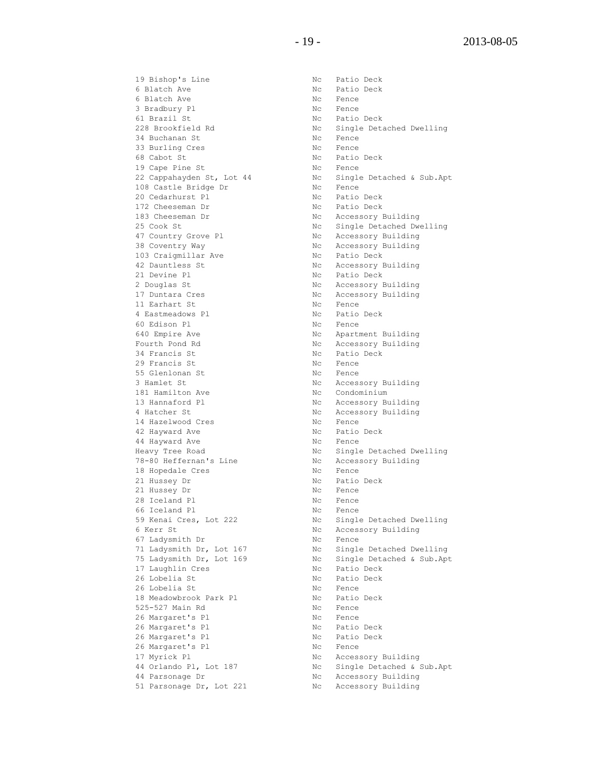19 Bishop's Line 19 Nc Patio Deck 6 Blatch Ave No Ratio Deck 6 Blatch Ave Nc Fence 3 Bradbury Pl Nc Fence 61 Brazil St Nc Patio Deck 34 Buchanan St Nc Fence 33 Burling Cres No. 2016 No. 2016 68 Cabot St 100 000 1000 1000 Nc Patio Deck 19 Cape Pine St No Rence 108 Castle Bridge Dr Nc Fence 20 Cedarhurst Pl No Ratio Deck 172 Cheeseman Dr Nc Patio Deck 47 Country Grove Pl Nc Accessory Building 38 Coventry Way No. 2012 No. 2013 No. 2013 No. 2014 103 Craigmillar Ave No Nc Patio Deck 42 Dauntless St Nc Accessory Building 21 Devine Pl **No. 1998** Nc Patio Deck 2 Douglas St Nc Accessory Building<br>17 Duntara Cres Nc Accessory Building 11 Earhart St No Rence 4 Eastmeadows Pl **No. 1988** Nc Patio Deck 60 Edison Pl Nc Rence 640 Empire Ave No. 2010 No. 2010 No. 2010 No. 2011 Fourth Pond Rd North Control No Accessory Building 34 Francis St Nc Patio Deck 29 Francis St No Rence 55 Glenlonan St Nc Fence 3 Hamlet St Nc Accessory Building 181 Hamilton Ave **No. 1888** Nc Condominium 13 Hannaford Pl **National State State Accessory Building** 4 Hatcher St No Recessory Building 14 Hazelwood Cres No. 2014 No. 2016 42 Hayward Ave **No. 2018** Nc Patio Deck 44 Hayward Ave **No. 1988** No. Fence 78-80 Heffernan's Line Mc Accessory Building 18 Hopedale Cres No. 2018 No. 2018 21 Hussey Dr Nc Patio Deck 21 Hussey Dr Nc Fence 28 Iceland Pl Nc Fence 66 Iceland Pl Nc Fence 6 Kerr St Nc Accessory Building 67 Ladysmith Dr Nc Fence 17 Laughlin Cres No. 2016 No. 2016 Patio Deck 26 Lobelia St Nc Patio Deck 17 Laughin Sicol<br>26 Lobelia St<br>26 Lobelia St Nc Fence 18 Meadowbrook Park Pl Mc Patio Deck 525-527 Main Rd No Nc Fence 26 Margaret's Pl Nc Fence 26 Maryunce of 12<br>
26 Margaret's Pl Mc Patio Deck<br>
26 Margaret's Pl Nc Patio Deck 26 Margaret's Pl **No. 1988** Nc Patio Deck 26 Margaret's Pl Nc Fence 17 Myrick Pl Nc Accessory Building 44 Parsonage Dr Nc Accessory Building 51 Parsonage Dr, Lot 221 Nc Accessory Building

228 Brookfield Rd No Single Detached Dwelling 22 Cappahayden St, Lot 44 Nc Single Detached & Sub.Apt Nc Accessory Building 25 Cook St<br>
25 Cook St<br>
25 Cook St<br>
27 Country Grove Pl<br>
28 Coventry Way<br>
28 Coventry Way<br>
29 Nc Accessory Building<br>
20 Nc Accessory Building<br>
20 Nc Accessory Building<br>
20 Nc Patio Deck Nc Accessory Building Heavy Tree Road No. 2012 No. 2013 No. 2014 Single Detached Dwelling 59 Kenai Cres, Lot 222 Nc Single Detached Dwelling 71 Ladysmith Dr, Lot 167 Nc Single Detached Dwelling 75 Ladysmith Dr, Lot 169 Nc Single Detached & Sub.Apt 44 Orlando Pl, Lot 187 Nc Single Detached & Sub.Apt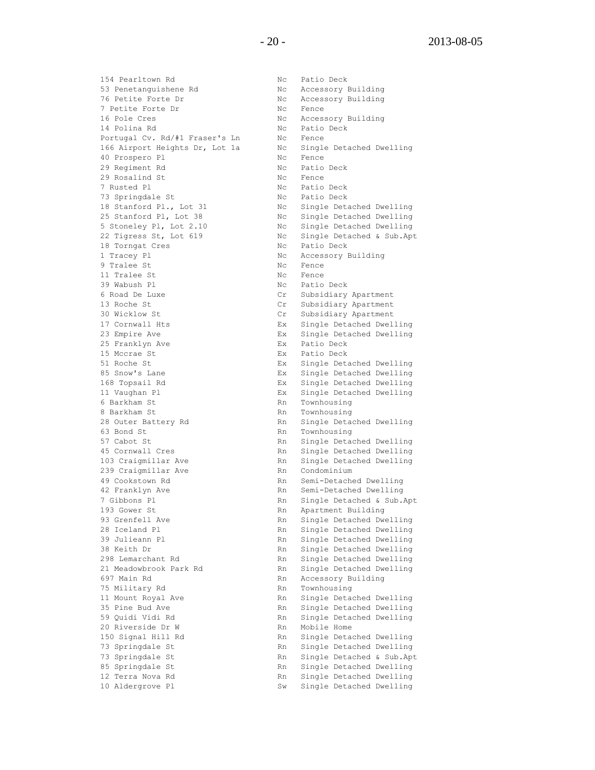154 Pearltown Rd No Nc Patio Deck 53 Penetanguishene Rd Nc Accessory Building 76 Petite Forte Dr Nc Accessory Building 7 Petite Forte Dr Nc Fence 16 Pole Cres The Cream South Mc Accessory Building<br>14 Polina Rd Nc Patio Deck 14 Polina Rd No Ratio Deck Portugal Cv. Rd/#1 Fraser's Ln Mc Fence 166 Airport Heights Dr, Lot 1a Nc Single Detached Dwelling 40 Prospero Pl Nc Fence 29 Regiment Rd Nc Patio Deck 29 Rosalind St Nc Fence 7 Rusted Pl **NC** Patio Deck 73 Springdale St Nc Patio Deck 18 Stanford Pl., Lot 31 Nc Single Detached Dwelling 25 Stanford Pl, Lot 38 Nc Single Detached Dwelling 5 Stoneley Pl, Lot 2.10 Nc Single Detached Dwelling 22 Tigress St, Lot 619 Mc Single Detached & Sub.Apt 18 Torngat Cres No. 2016 Nc Patio Deck 1 Tracey Pl Nc Accessory Building 9 Tralee St Nc Fence 11 Tralee St Nc Fence 39 Wabush Pl **No. 19 Wabush Pl Nc** Patio Deck 6 Road De Luxe Cr Subsidiary Apartment 13 Roche St Cr Subsidiary Apartment 30 Wicklow St Cr Subsidiary Apartment 17 Cornwall Hts Ex Single Detached Dwelling 23 Empire Ave Ex Single Detached Dwelling 25 Franklyn Ave **EX** Patio Deck 15 Mccrae St **Ex** Patio Deck 51 Roche St Ex Single Detached Dwelling 85 Snow's Lane Ex Single Detached Dwelling 168 Topsail Rd Ex Single Detached Dwelling 11 Vaughan Pl Ex Single Detached Dwelling 6 Barkham St **Rn** Townhousing 8 Barkham St Rn Townhousing 63 Bond St<br>
E7 Cabat St<br>
F7 Cabat St 57 Cabot St Rn Single Detached Dwelling 45 Cornwall Cres The Rn Single Detached Dwelling 103 Craigmillar Ave Rn Single Detached Dwelling<br>239 Craigmillar Ave Rn Condominium 239 Craigmillar Ave 49 Cookstown Rd **Rn** Semi-Detached Dwelling 42 Franklyn Ave and Rn Semi-Detached Dwelling 7 Gibbons Pl Rn Single Detached & Sub.Apt 193 Gower St **Rn** Apartment Building 93 Grenfell Ave Rn Single Detached Dwelling 28 Iceland Pl Rn Single Detached Dwelling 39 Julieann Pl Rn Single Detached Dwelling 38 Keith Dr Rn Single Detached Dwelling 298 Lemarchant Rd Rn Single Detached Dwelling 21 Meadowbrook Park Rd **Rn Single Detached Dwelling** 697 Main Rd **Rn** Accessory Building 75 Military Rd<br>11 Mount Royal Ave **Rn** Single Deta 35 Pine Bud Ave Rn Single Detached Dwelling 59 Quidi Vidi Rd Rn Single Detached Dwelling 20 Riverside Dr W Rn Mobile Home 150 Signal Hill Rd **Rn** Single Detached Dwelling 73 Springdale St Rn Single Detached Dwelling 73 Springdale St Rn Single Detached & Sub.Apt 85 Springdale St Rn Single Detached Dwelling 12 Terra Nova Rd **Rn** Single Detached Dwelling

Rn Single Detached Dwelling Rn Single Detached Dwelling 10 Aldergrove Pl Sw Single Detached Dwelling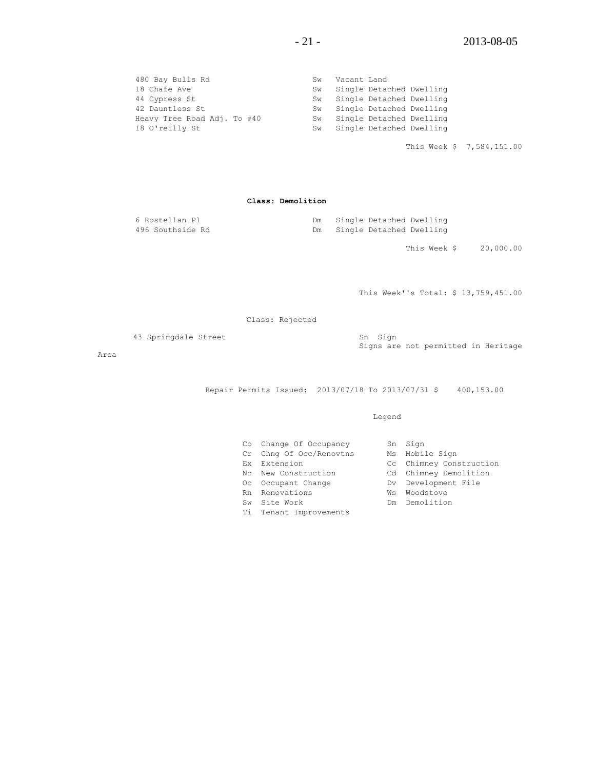| 480 Bay Bulls Rd            | Sw | Vacant Land                 |
|-----------------------------|----|-----------------------------|
| 18 Chafe Ave                | Sw | Single Detached Dwelling    |
| 44 Cypress St               |    | Sw Single Detached Dwelling |
| 42 Dauntless St             |    | Sw Single Detached Dwelling |
| Heavy Tree Road Adj. To #40 |    | Sw Single Detached Dwelling |
| 18 O'reilly St              |    | Sw Single Detached Dwelling |

This Week \$ 7,584,151.00

**Class: Demolition**

| 6 Rostellan Pl   |  | Single Detached Dwelling |  |
|------------------|--|--------------------------|--|
| 496 Southside Rd |  | Single Detached Dwelling |  |

This Week \$ 20,000.00

This Week''s Total: \$ 13,759,451.00

Class: Rejected

43 Springdale Street Sn Sign

Area

Signs are not permitted in Heritage

Repair Permits Issued: 2013/07/18 To 2013/07/31 \$ 400,153.00

Legend

| Co  | Change Of Occupancy     |     | Sn Sign                 |
|-----|-------------------------|-----|-------------------------|
|     | Cr Chng Of Occ/Renovtns |     | Ms Mobile Sign          |
| Fx. | Extension               |     | Cc Chimney Construction |
|     | No. New Construction    |     | Cd Chimney Demolition   |
|     | Oc Occupant Change      |     | Dv Development File     |
|     | Rn Renovations          | Ws  | Woodstove               |
| Sw  | Site Work               | Dm. | Demolition              |
| Ti  | Tenant Improvements     |     |                         |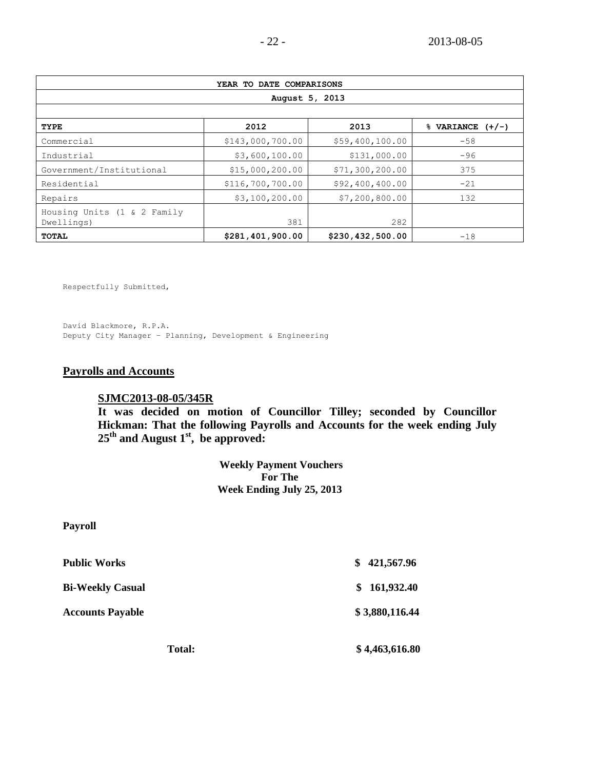| YEAR TO DATE COMPARISONS                  |                  |                  |                      |  |  |
|-------------------------------------------|------------------|------------------|----------------------|--|--|
| August 5, 2013                            |                  |                  |                      |  |  |
|                                           |                  |                  |                      |  |  |
| <b>TYPE</b>                               | 2012             | 2013             | $%$ VARIANCE $(+/-)$ |  |  |
| Commercial                                | \$143,000,700.00 | \$59,400,100.00  | $-58$                |  |  |
| Industrial                                | \$3,600,100.00   | \$131,000.00     | $-96$                |  |  |
| Government/Institutional                  | \$15,000,200.00  | \$71,300,200.00  | 375                  |  |  |
| Residential                               | \$116,700,700.00 | \$92,400,400.00  | $-21$                |  |  |
| Repairs                                   | \$3,100,200.00   | \$7,200,800.00   | 132                  |  |  |
| Housing Units (1 & 2 Family<br>Dwellings) | 381              | 282              |                      |  |  |
| TOTAL                                     | \$281,401,900.00 | \$230,432,500.00 | $-18$                |  |  |

Respectfully Submitted,

David Blackmore, R.P.A. Deputy City Manager – Planning, Development & Engineering

# **Payrolls and Accounts**

### **SJMC2013-08-05/345R**

**It was decided on motion of Councillor Tilley; seconded by Councillor Hickman: That the following Payrolls and Accounts for the week ending July 25th and August 1st , be approved:**

> **Weekly Payment Vouchers For The Week Ending July 25, 2013**

**Payroll**

| <b>Public Works</b>     | \$421,567.96   |
|-------------------------|----------------|
| <b>Bi-Weekly Casual</b> | \$161,932.40   |
| <b>Accounts Payable</b> | \$3,880,116.44 |
| <b>Total:</b>           | \$4,463,616.80 |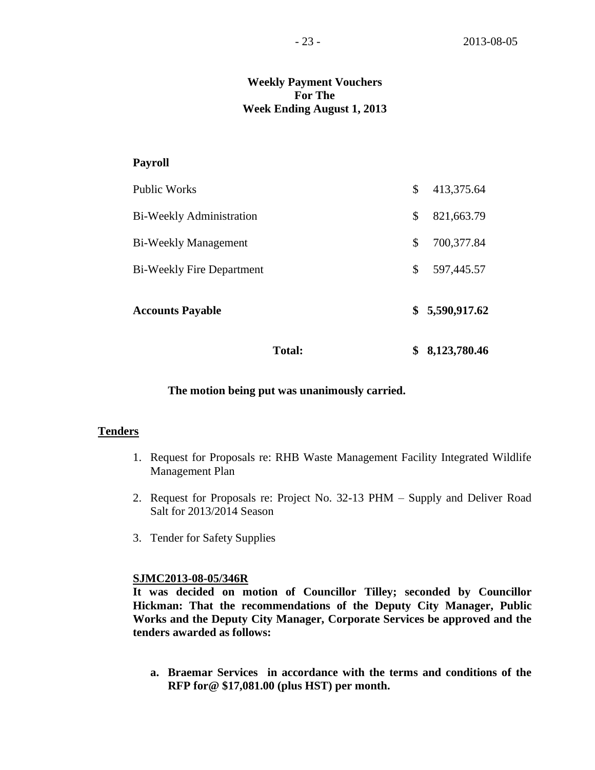# **Weekly Payment Vouchers For The Week Ending August 1, 2013**

### **Payroll**

| <b>Total:</b>                    | \$<br>8,123,780.46 |
|----------------------------------|--------------------|
| <b>Accounts Payable</b>          | \$5,590,917.62     |
| <b>Bi-Weekly Fire Department</b> | \$<br>597,445.57   |
| <b>Bi-Weekly Management</b>      | \$<br>700,377.84   |
| <b>Bi-Weekly Administration</b>  | \$<br>821,663.79   |
| Public Works                     | \$<br>413,375.64   |

### **The motion being put was unanimously carried.**

### **Tenders**

- 1. Request for Proposals re: RHB Waste Management Facility Integrated Wildlife Management Plan
- 2. Request for Proposals re: Project No. 32-13 PHM Supply and Deliver Road Salt for 2013/2014 Season
- 3. Tender for Safety Supplies

### **SJMC2013-08-05/346R**

**It was decided on motion of Councillor Tilley; seconded by Councillor Hickman: That the recommendations of the Deputy City Manager, Public Works and the Deputy City Manager, Corporate Services be approved and the tenders awarded as follows:**

**a. Braemar Services in accordance with the terms and conditions of the RFP for@ \$17,081.00 (plus HST) per month.**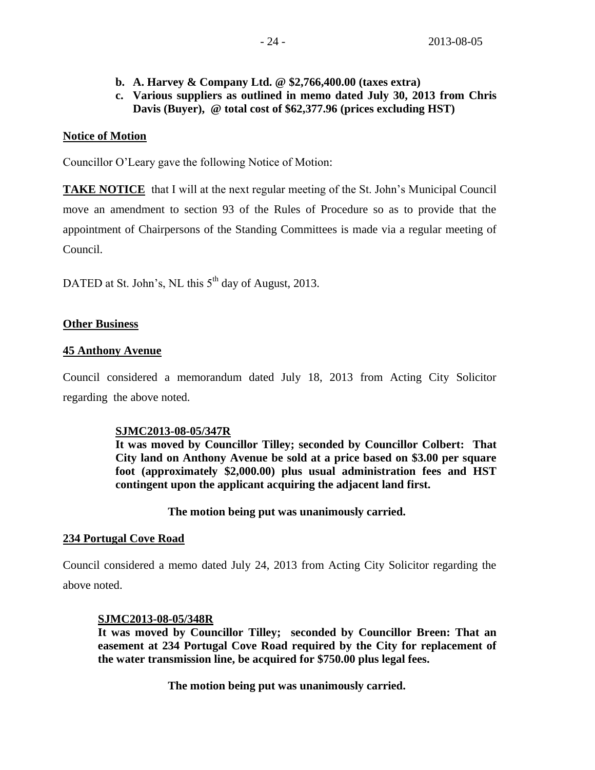- 
- **b. A. Harvey & Company Ltd. @ \$2,766,400.00 (taxes extra)**
- **c. Various suppliers as outlined in memo dated July 30, 2013 from Chris Davis (Buyer), @ total cost of \$62,377.96 (prices excluding HST)**

# **Notice of Motion**

Councillor O'Leary gave the following Notice of Motion:

**TAKE NOTICE** that I will at the next regular meeting of the St. John's Municipal Council move an amendment to section 93 of the Rules of Procedure so as to provide that the appointment of Chairpersons of the Standing Committees is made via a regular meeting of Council.

DATED at St. John's, NL this 5<sup>th</sup> day of August, 2013.

# **Other Business**

# **45 Anthony Avenue**

Council considered a memorandum dated July 18, 2013 from Acting City Solicitor regarding the above noted.

# **SJMC2013-08-05/347R**

**It was moved by Councillor Tilley; seconded by Councillor Colbert: That City land on Anthony Avenue be sold at a price based on \$3.00 per square foot (approximately \$2,000.00) plus usual administration fees and HST contingent upon the applicant acquiring the adjacent land first.**

# **The motion being put was unanimously carried.**

# **234 Portugal Cove Road**

Council considered a memo dated July 24, 2013 from Acting City Solicitor regarding the above noted.

# **SJMC2013-08-05/348R**

**It was moved by Councillor Tilley; seconded by Councillor Breen: That an easement at 234 Portugal Cove Road required by the City for replacement of the water transmission line, be acquired for \$750.00 plus legal fees.**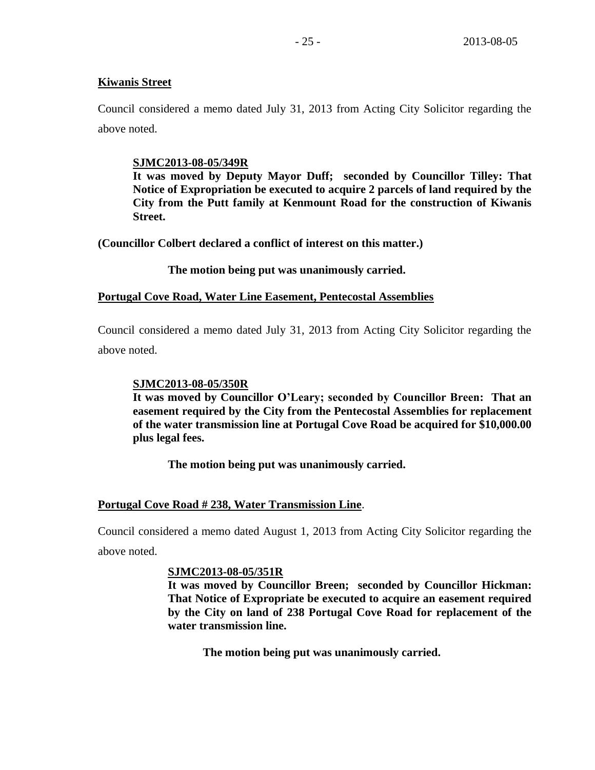## **Kiwanis Street**

Council considered a memo dated July 31, 2013 from Acting City Solicitor regarding the above noted.

# **SJMC2013-08-05/349R**

**It was moved by Deputy Mayor Duff; seconded by Councillor Tilley: That Notice of Expropriation be executed to acquire 2 parcels of land required by the City from the Putt family at Kenmount Road for the construction of Kiwanis Street.**

**(Councillor Colbert declared a conflict of interest on this matter.)**

**The motion being put was unanimously carried.**

### **Portugal Cove Road, Water Line Easement, Pentecostal Assemblies**

Council considered a memo dated July 31, 2013 from Acting City Solicitor regarding the above noted.

# **SJMC2013-08-05/350R**

**It was moved by Councillor O'Leary; seconded by Councillor Breen: That an easement required by the City from the Pentecostal Assemblies for replacement of the water transmission line at Portugal Cove Road be acquired for \$10,000.00 plus legal fees.**

**The motion being put was unanimously carried.**

### **Portugal Cove Road # 238, Water Transmission Line**.

Council considered a memo dated August 1, 2013 from Acting City Solicitor regarding the above noted.

### **SJMC2013-08-05/351R**

**It was moved by Councillor Breen; seconded by Councillor Hickman: That Notice of Expropriate be executed to acquire an easement required by the City on land of 238 Portugal Cove Road for replacement of the water transmission line.**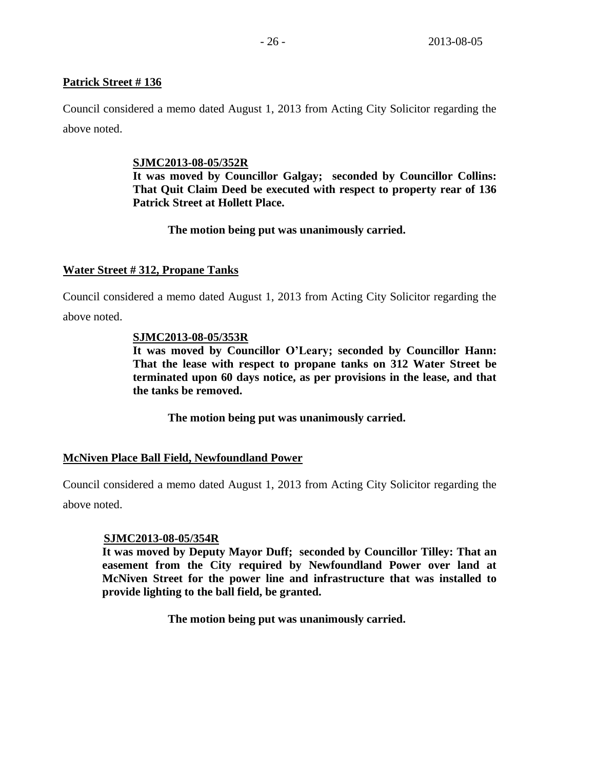# **Patrick Street # 136**

Council considered a memo dated August 1, 2013 from Acting City Solicitor regarding the above noted.

# **SJMC2013-08-05/352R**

**It was moved by Councillor Galgay; seconded by Councillor Collins: That Quit Claim Deed be executed with respect to property rear of 136 Patrick Street at Hollett Place.**

# **The motion being put was unanimously carried.**

# **Water Street # 312, Propane Tanks**

Council considered a memo dated August 1, 2013 from Acting City Solicitor regarding the above noted.

### **SJMC2013-08-05/353R**

**It was moved by Councillor O'Leary; seconded by Councillor Hann: That the lease with respect to propane tanks on 312 Water Street be terminated upon 60 days notice, as per provisions in the lease, and that the tanks be removed.**

**The motion being put was unanimously carried.**

# **McNiven Place Ball Field, Newfoundland Power**

Council considered a memo dated August 1, 2013 from Acting City Solicitor regarding the above noted.

### **SJMC2013-08-05/354R**

**It was moved by Deputy Mayor Duff; seconded by Councillor Tilley: That an easement from the City required by Newfoundland Power over land at McNiven Street for the power line and infrastructure that was installed to provide lighting to the ball field, be granted.**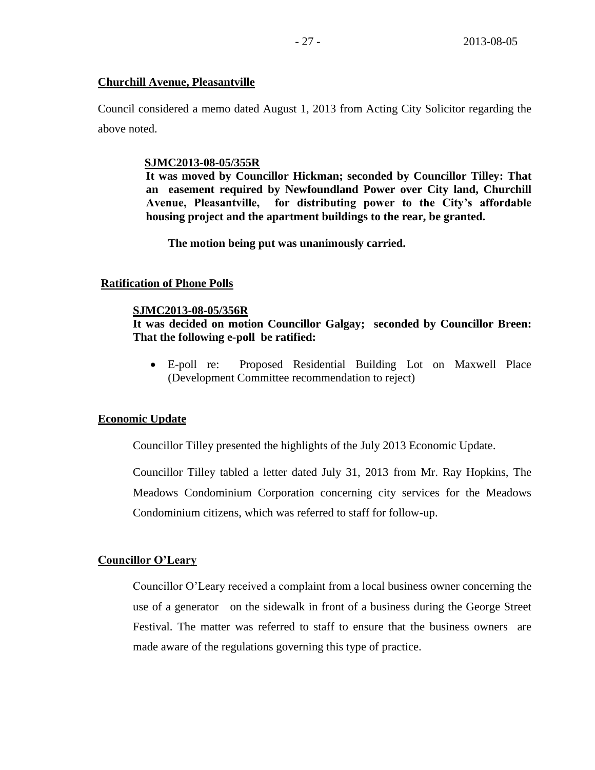### **Churchill Avenue, Pleasantville**

Council considered a memo dated August 1, 2013 from Acting City Solicitor regarding the above noted.

### **SJMC2013-08-05/355R**

**It was moved by Councillor Hickman; seconded by Councillor Tilley: That an easement required by Newfoundland Power over City land, Churchill Avenue, Pleasantville, for distributing power to the City's affordable housing project and the apartment buildings to the rear, be granted.**

**The motion being put was unanimously carried.**

# **Ratification of Phone Polls**

### **SJMC2013-08-05/356R**

# **It was decided on motion Councillor Galgay; seconded by Councillor Breen: That the following e-poll be ratified:**

 E-poll re: Proposed Residential Building Lot on Maxwell Place (Development Committee recommendation to reject)

### **Economic Update**

Councillor Tilley presented the highlights of the July 2013 Economic Update.

Councillor Tilley tabled a letter dated July 31, 2013 from Mr. Ray Hopkins, The Meadows Condominium Corporation concerning city services for the Meadows Condominium citizens, which was referred to staff for follow-up.

# **Councillor O'Leary**

Councillor O'Leary received a complaint from a local business owner concerning the use of a generator on the sidewalk in front of a business during the George Street Festival. The matter was referred to staff to ensure that the business owners are made aware of the regulations governing this type of practice.